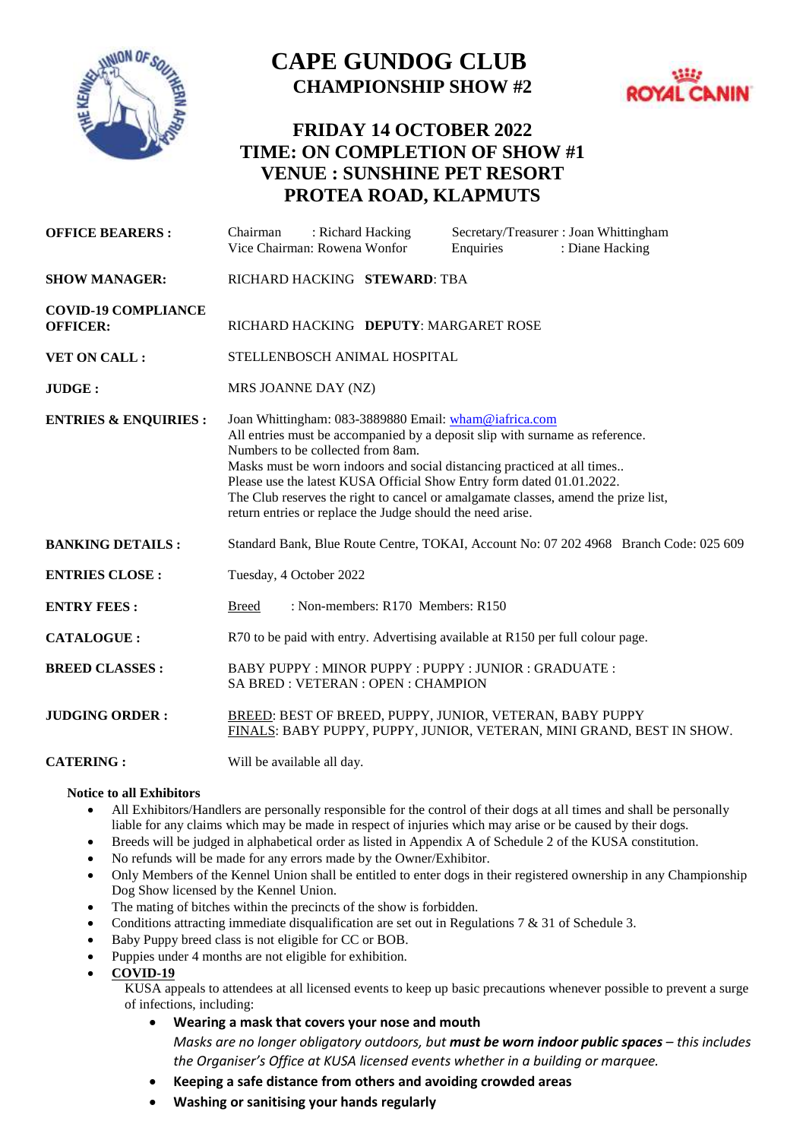

## **CAPE GUNDOG CLUB CHAMPIONSHIP SHOW #2**



## **FRIDAY 14 OCTOBER 2022 TIME: ON COMPLETION OF SHOW #1 VENUE : SUNSHINE PET RESORT PROTEA ROAD, KLAPMUTS**

| <b>OFFICE BEARERS:</b>                        | Secretary/Treasurer: Joan Whittingham<br>: Richard Hacking<br>Chairman<br>Vice Chairman: Rowena Wonfor<br>: Diane Hacking<br>Enquiries                                                                                                                                                                                                                                                                                                                                             |
|-----------------------------------------------|------------------------------------------------------------------------------------------------------------------------------------------------------------------------------------------------------------------------------------------------------------------------------------------------------------------------------------------------------------------------------------------------------------------------------------------------------------------------------------|
| <b>SHOW MANAGER:</b>                          | RICHARD HACKING STEWARD: TBA                                                                                                                                                                                                                                                                                                                                                                                                                                                       |
| <b>COVID-19 COMPLIANCE</b><br><b>OFFICER:</b> | RICHARD HACKING DEPUTY: MARGARET ROSE                                                                                                                                                                                                                                                                                                                                                                                                                                              |
| <b>VET ON CALL:</b>                           | STELLENBOSCH ANIMAL HOSPITAL                                                                                                                                                                                                                                                                                                                                                                                                                                                       |
| JUDGE:                                        | MRS JOANNE DAY (NZ)                                                                                                                                                                                                                                                                                                                                                                                                                                                                |
| <b>ENTRIES &amp; ENQUIRIES:</b>               | Joan Whittingham: 083-3889880 Email: wham@iafrica.com<br>All entries must be accompanied by a deposit slip with surname as reference.<br>Numbers to be collected from 8am.<br>Masks must be worn indoors and social distancing practiced at all times<br>Please use the latest KUSA Official Show Entry form dated 01.01.2022.<br>The Club reserves the right to cancel or amalgamate classes, amend the prize list,<br>return entries or replace the Judge should the need arise. |
| <b>BANKING DETAILS:</b>                       | Standard Bank, Blue Route Centre, TOKAI, Account No: 07 202 4968  Branch Code: 025 609                                                                                                                                                                                                                                                                                                                                                                                             |
| <b>ENTRIES CLOSE:</b>                         | Tuesday, 4 October 2022                                                                                                                                                                                                                                                                                                                                                                                                                                                            |
| <b>ENTRY FEES:</b>                            | : Non-members: R170 Members: R150<br><b>Breed</b>                                                                                                                                                                                                                                                                                                                                                                                                                                  |
| <b>CATALOGUE:</b>                             | R70 to be paid with entry. Advertising available at R150 per full colour page.                                                                                                                                                                                                                                                                                                                                                                                                     |
| <b>BREED CLASSES:</b>                         | BABY PUPPY: MINOR PUPPY: PUPPY: JUNIOR: GRADUATE:<br>SA BRED: VETERAN: OPEN: CHAMPION                                                                                                                                                                                                                                                                                                                                                                                              |
| <b>JUDGING ORDER:</b>                         | BREED: BEST OF BREED, PUPPY, JUNIOR, VETERAN, BABY PUPPY<br>FINALS: BABY PUPPY, PUPPY, JUNIOR, VETERAN, MINI GRAND, BEST IN SHOW.                                                                                                                                                                                                                                                                                                                                                  |
| <b>CATERING:</b>                              | Will be available all day.                                                                                                                                                                                                                                                                                                                                                                                                                                                         |

## **Notice to all Exhibitors**

- All Exhibitors/Handlers are personally responsible for the control of their dogs at all times and shall be personally liable for any claims which may be made in respect of injuries which may arise or be caused by their dogs.
- Breeds will be judged in alphabetical order as listed in Appendix A of Schedule 2 of the KUSA constitution.
- No refunds will be made for any errors made by the Owner/Exhibitor.
- Only Members of the Kennel Union shall be entitled to enter dogs in their registered ownership in any Championship Dog Show licensed by the Kennel Union.
- The mating of bitches within the precincts of the show is forbidden.
- Conditions attracting immediate disqualification are set out in Regulations 7 & 31 of Schedule 3.
- Baby Puppy breed class is not eligible for CC or BOB.
- Puppies under 4 months are not eligible for exhibition.
- **COVID-19**

KUSA appeals to attendees at all licensed events to keep up basic precautions whenever possible to prevent a surge of infections, including:

- **Wearing a mask that covers your nose and mouth** *Masks are no longer obligatory outdoors, but must be worn indoor public spaces – this includes the Organiser's Office at KUSA licensed events whether in a building or marquee.*
- **Keeping a safe distance from others and avoiding crowded areas**
- **Washing or sanitising your hands regularly**